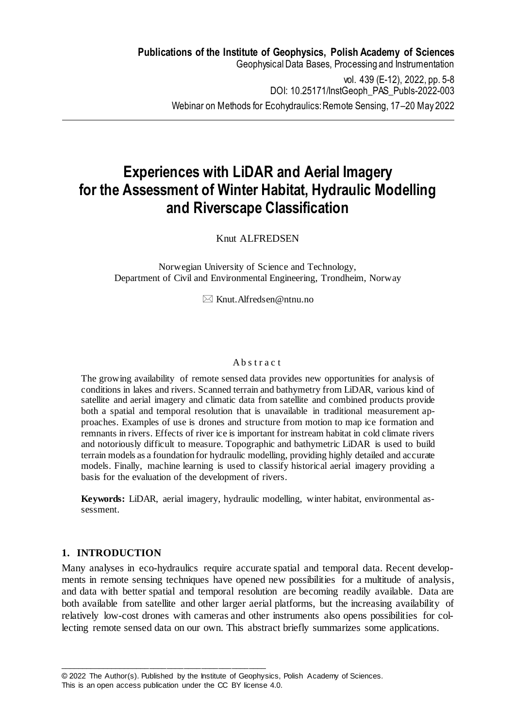# **Experiences with LiDAR and Aerial Imagery for the Assessment of Winter Habitat, Hydraulic Modelling and Riverscape Classification**

Knut ALFREDSEN

Norwegian University of Science and Technology, Department of Civil and Environmental Engineering, Trondheim, Norway

 $\boxtimes$  Knut. Alfredsen@ntnu.no

#### Ab s t r a c t

The growing availability of remote sensed data provides new opportunities for analysis of conditions in lakes and rivers. Scanned terrain and bathymetry from LiDAR, various kind of satellite and aerial imagery and climatic data from satellite and combined products provide both a spatial and temporal resolution that is unavailable in traditional measurement approaches. Examples of use is drones and structure from motion to map ice formation and remnants in rivers. Effects of river ice is important for instream habitat in cold climate rivers and notoriously difficult to measure. Topographic and bathymetric LiDAR is used to build terrain models as a foundation for hydraulic modelling, providing highly detailed and accurate models. Finally, machine learning is used to classify historical aerial imagery providing a basis for the evaluation of the development of rivers.

**Keywords:** LiDAR, aerial imagery, hydraulic modelling, winter habitat, environmental assessment.

## **1. INTRODUCTION**

Many analyses in eco-hydraulics require accurate spatial and temporal data. Recent developments in remote sensing techniques have opened new possibilities for a multitude of analysis, and data with better spatial and temporal resolution are becoming readily available. Data are both available from satellite and other larger aerial platforms, but the increasing availability of relatively low-cost drones with cameras and other instruments also opens possibilities for collecting remote sensed data on our own. This abstract briefly summarizes some applications.

\_\_\_\_\_\_\_\_\_\_\_\_\_\_\_\_\_\_\_\_\_\_\_\_\_\_\_\_\_\_\_\_\_\_\_\_\_\_\_\_\_\_\_\_\_\_\_\_

<sup>© 2022</sup> The Author(s). Published by the Institute of Geophysics, Polish Academy of Sciences.

This is an open access publication under the CC BY license 4.0.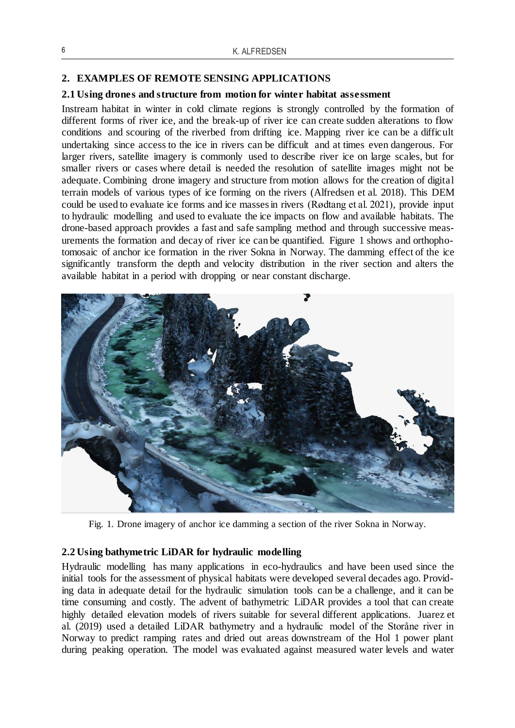### **2. EXAMPLES OF REMOTE SENSING APPLICATIONS**

### **2.1 Using drones and structure from motion for winter habitat assessment**

Instream habitat in winter in cold climate regions is strongly controlled by the formation of different forms of river ice, and the break-up of river ice can create sudden alterations to flow conditions and scouring of the riverbed from drifting ice. Mapping river ice can be a difficult undertaking since access to the ice in rivers can be difficult and at times even dangerous. For larger rivers, satellite imagery is commonly used to describe river ice on large scales, but for smaller rivers or cases where detail is needed the resolution of satellite images might not be adequate. Combining drone imagery and structure from motion allows for the creation of digital terrain models of various types of ice forming on the rivers (Alfredsen et al. 2018). This DEM could be used to evaluate ice forms and ice masses in rivers (Rødtang et al. 2021), provide input to hydraulic modelling and used to evaluate the ice impacts on flow and available habitats. The drone-based approach provides a fast and safe sampling method and through successive measurements the formation and decay of river ice can be quantified. Figure 1 shows and orthophotomosaic of anchor ice formation in the river Sokna in Norway. The damming effect of the ice significantly transform the depth and velocity distribution in the river section and alters the available habitat in a period with dropping or near constant discharge.



Fig*.* 1*.* Drone imagery of anchor ice damming a section of the river Sokna in Norway.

#### **2.2 Using bathymetric LiDAR for hydraulic modelling**

Hydraulic modelling has many applications in eco-hydraulics and have been used since the initial tools for the assessment of physical habitats were developed several decades ago. Providing data in adequate detail for the hydraulic simulation tools can be a challenge, and it can be time consuming and costly. The advent of bathymetric LiDAR provides a tool that can create highly detailed elevation models of rivers suitable for several different applications. Juarez et al. (2019) used a detailed LiDAR bathymetry and a hydraulic model of the Storåne river in Norway to predict ramping rates and dried out areas downstream of the Hol 1 power plant during peaking operation. The model was evaluated against measured water levels and water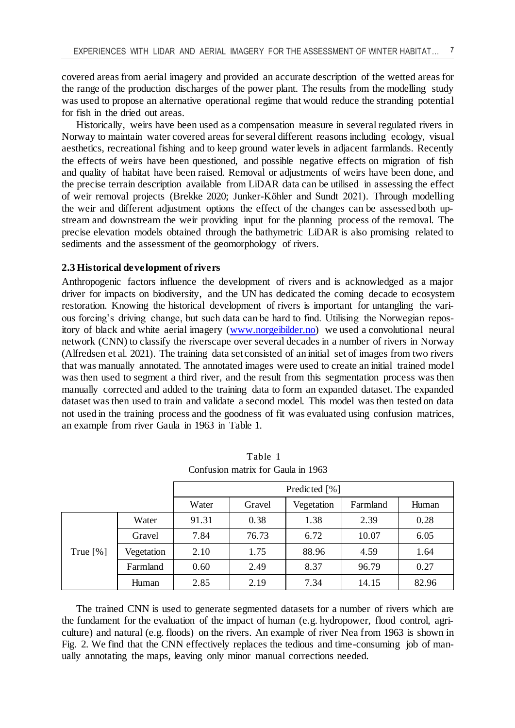covered areas from aerial imagery and provided an accurate description of the wetted areas for the range of the production discharges of the power plant. The results from the modelling study was used to propose an alternative operational regime that would reduce the stranding potential for fish in the dried out areas.

Historically, weirs have been used as a compensation measure in several regulated rivers in Norway to maintain water covered areas for several different reasons including ecology, visual aesthetics, recreational fishing and to keep ground water levels in adjacent farmlands. Recently the effects of weirs have been questioned, and possible negative effects on migration of fish and quality of habitat have been raised. Removal or adjustments of weirs have been done, and the precise terrain description available from LiDAR data can be utilised in assessing the effect of weir removal projects (Brekke 2020; Junker-Köhler and Sundt 2021). Through modelling the weir and different adjustment options the effect of the changes can be assessed both upstream and downstream the weir providing input for the planning process of the removal. The precise elevation models obtained through the bathymetric LiDAR is also promising related to sediments and the assessment of the geomorphology of rivers.

#### **2.3 Historical development of rivers**

Anthropogenic factors influence the development of rivers and is acknowledged as a major driver for impacts on biodiversity, and the UN has dedicated the coming decade to ecosystem restoration. Knowing the historical development of rivers is important for untangling the various forcing's driving change, but such data can be hard to find. Utilising the Norwegian repository of black and white aerial imagery [\(www.norgeibilder.no\)](http://www.norgeibilder.no/) we used a convolutional neural network (CNN) to classify the riverscape over several decades in a number of rivers in Norway (Alfredsen et al. 2021). The training data set consisted of an initial set of images from two rivers that was manually annotated. The annotated images were used to create an initial trained model was then used to segment a third river, and the result from this segmentation process was then manually corrected and added to the training data to form an expanded dataset. The expanded dataset was then used to train and validate a second model. This model was then tested on data not used in the training process and the goodness of fit was evaluated using confusion matrices, an example from river Gaula in 1963 in Table 1.

|            |            | Predicted [%] |        |            |          |       |
|------------|------------|---------------|--------|------------|----------|-------|
|            |            | Water         | Gravel | Vegetation | Farmland | Human |
| True $[%]$ | Water      | 91.31         | 0.38   | 1.38       | 2.39     | 0.28  |
|            | Gravel     | 7.84          | 76.73  | 6.72       | 10.07    | 6.05  |
|            | Vegetation | 2.10          | 1.75   | 88.96      | 4.59     | 1.64  |
|            | Farmland   | 0.60          | 2.49   | 8.37       | 96.79    | 0.27  |
|            | Human      | 2.85          | 2.19   | 7.34       | 14.15    | 82.96 |

Table 1 Confusion matrix for Gaula in 1963

The trained CNN is used to generate segmented datasets for a number of rivers which are the fundament for the evaluation of the impact of human (e.g. hydropower, flood control, agriculture) and natural (e.g. floods) on the rivers. An example of river Nea from 1963 is shown in Fig. 2. We find that the CNN effectively replaces the tedious and time-consuming job of manually annotating the maps, leaving only minor manual corrections needed.